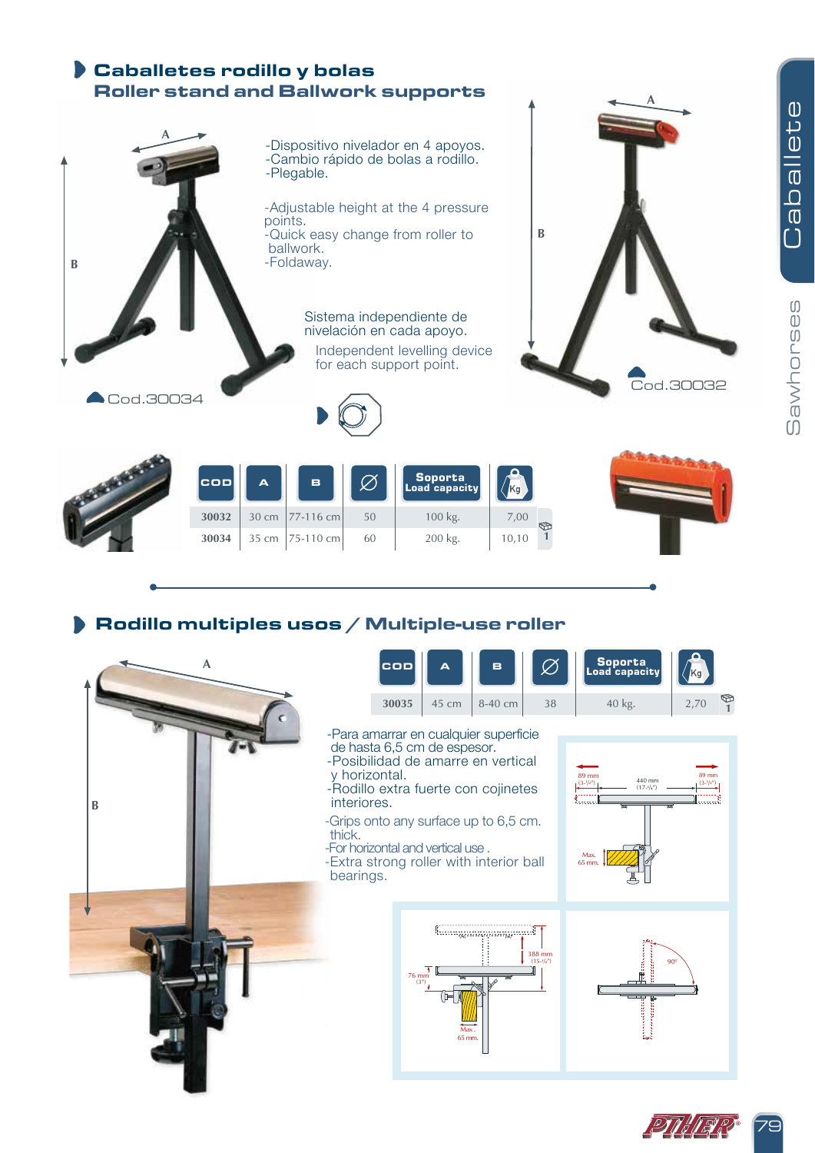

## Rodillo multiples usos / Multiple-use roller



79